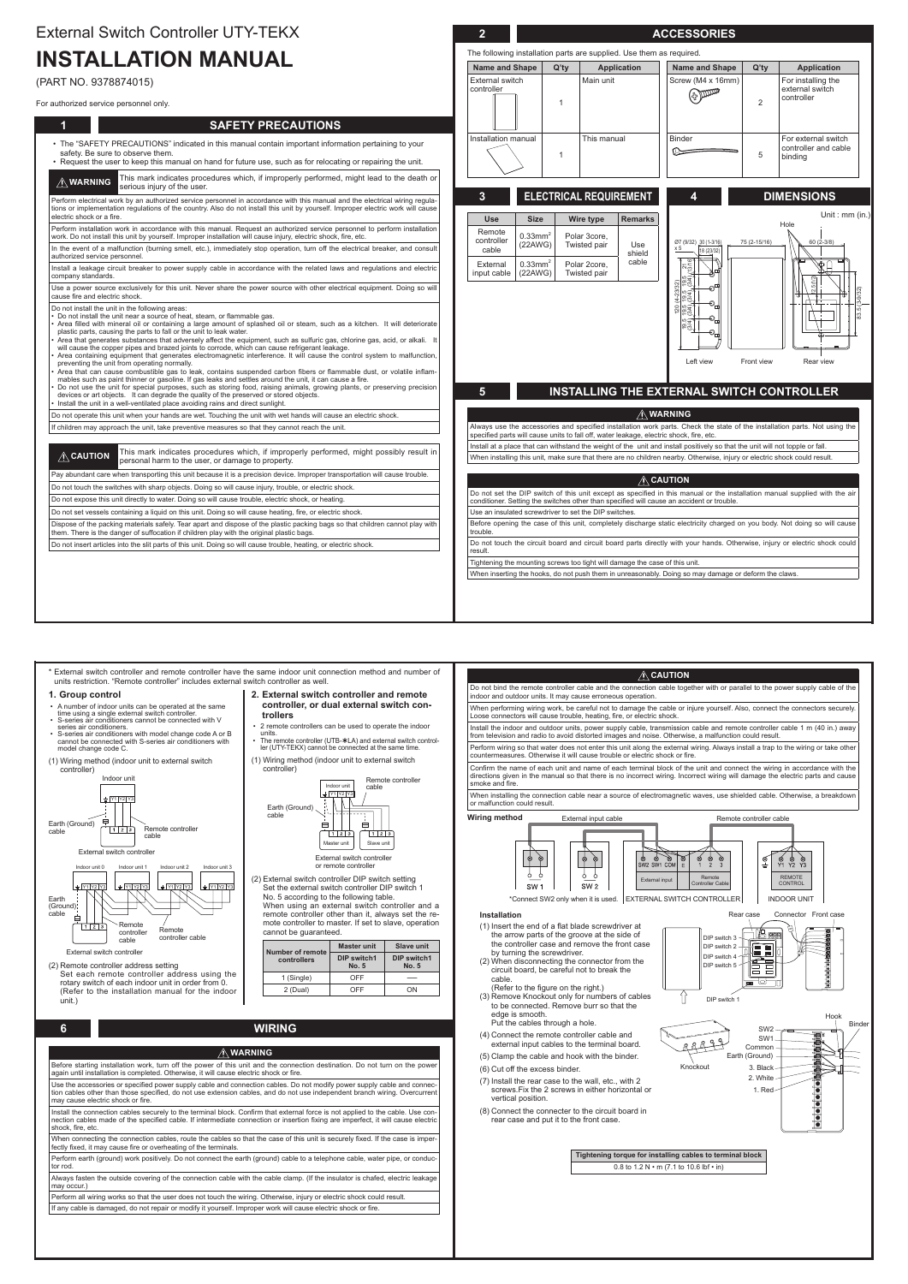# **INSTALLATION MANUAL**

(PART NO. 9378874015)

### For authorized service personnel only.

| 1<br><b>SAFETY PRECAUTIONS</b>                                                                                                                                                                                                                                                                                                                                                                                                                                                                                                                                                                                                                                                                                                                                                                                                                                                                                                                                                                                                                                                                                                                                                                                                              |                              |                                   |                                                                                                                                  |                           |
|---------------------------------------------------------------------------------------------------------------------------------------------------------------------------------------------------------------------------------------------------------------------------------------------------------------------------------------------------------------------------------------------------------------------------------------------------------------------------------------------------------------------------------------------------------------------------------------------------------------------------------------------------------------------------------------------------------------------------------------------------------------------------------------------------------------------------------------------------------------------------------------------------------------------------------------------------------------------------------------------------------------------------------------------------------------------------------------------------------------------------------------------------------------------------------------------------------------------------------------------|------------------------------|-----------------------------------|----------------------------------------------------------------------------------------------------------------------------------|---------------------------|
| • The "SAFETY PRECAUTIONS" indicated in this manual contain important information pertaining to your<br>safety. Be sure to observe them.<br>. Request the user to keep this manual on hand for future use, such as for relocating or repairing the unit.                                                                                                                                                                                                                                                                                                                                                                                                                                                                                                                                                                                                                                                                                                                                                                                                                                                                                                                                                                                    | Installation manual          |                                   | This manual<br>$\overline{1}$                                                                                                    |                           |
| This mark indicates procedures which, if improperly performed, might lead to the death or<br>$\hat{N}$ WARNING<br>serious injury of the user.                                                                                                                                                                                                                                                                                                                                                                                                                                                                                                                                                                                                                                                                                                                                                                                                                                                                                                                                                                                                                                                                                               |                              |                                   |                                                                                                                                  |                           |
| Perform electrical work by an authorized service personnel in accordance with this manual and the electrical wiring regula-<br>tions or implementation regulations of the country. Also do not install this unit by yourself. Improper electric work will cause<br>electric shock or a fire.                                                                                                                                                                                                                                                                                                                                                                                                                                                                                                                                                                                                                                                                                                                                                                                                                                                                                                                                                | 3 <sup>2</sup><br><b>Use</b> | <b>Size</b>                       | <b>ELECTRICAL REQUIREMENT</b>                                                                                                    | <b>Remarks</b>            |
| Perform installation work in accordance with this manual. Request an authorized service personnel to perform installation<br>work. Do not install this unit by yourself. Improper installation will cause injury, electric shock, fire, etc.                                                                                                                                                                                                                                                                                                                                                                                                                                                                                                                                                                                                                                                                                                                                                                                                                                                                                                                                                                                                | Remote<br>controller         | $0.33$ mm <sup>2</sup>            | Wire type<br>Polar 3core,                                                                                                        |                           |
| In the event of a malfunction (burning smell, etc.), immediately stop operation, turn off the electrical breaker, and consult<br>authorized service personnel.                                                                                                                                                                                                                                                                                                                                                                                                                                                                                                                                                                                                                                                                                                                                                                                                                                                                                                                                                                                                                                                                              | cable                        | (22AWG)                           | Twisted pair                                                                                                                     | Use<br>shield             |
| Install a leakage circuit breaker to power supply cable in accordance with the related laws and regulations and electric<br>company standards.                                                                                                                                                                                                                                                                                                                                                                                                                                                                                                                                                                                                                                                                                                                                                                                                                                                                                                                                                                                                                                                                                              | External<br>input cable      | $0.33$ mm <sup>2</sup><br>(22AWG) | Polar 2core,<br>Twisted pair                                                                                                     | cable                     |
| Use a power source exclusively for this unit. Never share the power source with other electrical equipment. Doing so will<br>cause fire and electric shock.                                                                                                                                                                                                                                                                                                                                                                                                                                                                                                                                                                                                                                                                                                                                                                                                                                                                                                                                                                                                                                                                                 |                              |                                   |                                                                                                                                  |                           |
| • Do not install the unit near a source of heat, steam, or flammable gas.<br>· Area filled with mineral oil or containing a large amount of splashed oil or steam, such as a kitchen. It will deteriorate<br>plastic parts, causing the parts to fall or the unit to leak water.<br>Area that generates substances that adversely affect the equipment, such as sulfuric gas, chlorine gas, acid, or alkali. It<br>will cause the copper pipes and brazed joints to corrode, which can cause refrigerant leakage.<br>Area containing equipment that generates electromagnetic interference. It will cause the control system to malfunction,<br>preventing the unit from operating normally.<br>Area that can cause combustible gas to leak, contains suspended carbon fibers or flammable dust, or volatile inflam-<br>mables such as paint thinner or gasoline. If gas leaks and settles around the unit, it can cause a fire.<br>Do not use the unit for special purposes, such as storing food, raising animals, growing plants, or preserving precision<br>devices or art objects. It can degrade the quality of the preserved or stored objects.<br>• Install the unit in a well-ventilated place avoiding rains and direct sunlight. | $5\phantom{.}$               |                                   | <b>INSTALLING THE E</b>                                                                                                          |                           |
| Do not operate this unit when your hands are wet. Touching the unit with wet hands will cause an electric shock.                                                                                                                                                                                                                                                                                                                                                                                                                                                                                                                                                                                                                                                                                                                                                                                                                                                                                                                                                                                                                                                                                                                            |                              |                                   |                                                                                                                                  | $\overline{\mathbb{V}}$ n |
| If children may approach the unit, take preventive measures so that they cannot reach the unit.                                                                                                                                                                                                                                                                                                                                                                                                                                                                                                                                                                                                                                                                                                                                                                                                                                                                                                                                                                                                                                                                                                                                             |                              |                                   | Always use the accessories and specified installation wor<br>specified parts will cause units to fall off, water leakage, ele    |                           |
| This mark indicates procedures which, if improperly performed, might possibly result in<br>$\hat{A}$ CAUTION<br>personal harm to the user, or damage to property.                                                                                                                                                                                                                                                                                                                                                                                                                                                                                                                                                                                                                                                                                                                                                                                                                                                                                                                                                                                                                                                                           |                              |                                   | Install at a place that can withstand the weight of the unit a<br>When installing this unit, make sure that there are no childre |                           |
| Pay abundant care when transporting this unit because it is a precision device. Improper transportation will cause trouble.                                                                                                                                                                                                                                                                                                                                                                                                                                                                                                                                                                                                                                                                                                                                                                                                                                                                                                                                                                                                                                                                                                                 |                              |                                   |                                                                                                                                  |                           |
| Do not touch the switches with sharp objects. Doing so will cause injury, trouble, or electric shock.                                                                                                                                                                                                                                                                                                                                                                                                                                                                                                                                                                                                                                                                                                                                                                                                                                                                                                                                                                                                                                                                                                                                       |                              |                                   | Do not set the DIP switch of this unit except as specified                                                                       | $\bigtriangleup$ C        |
| Do not expose this unit directly to water. Doing so will cause trouble, electric shock, or heating.                                                                                                                                                                                                                                                                                                                                                                                                                                                                                                                                                                                                                                                                                                                                                                                                                                                                                                                                                                                                                                                                                                                                         |                              |                                   | conditioner. Setting the switches other than specified will ca                                                                   |                           |
| Do not set vessels containing a liquid on this unit. Doing so will cause heating, fire, or electric shock.                                                                                                                                                                                                                                                                                                                                                                                                                                                                                                                                                                                                                                                                                                                                                                                                                                                                                                                                                                                                                                                                                                                                  |                              |                                   | Use an insulated screwdriver to set the DIP switches.                                                                            |                           |
| Dispose of the packing materials safely. Tear apart and dispose of the plastic packing bags so that children cannot play with<br>them. There is the danger of suffocation if children play with the original plastic bags.                                                                                                                                                                                                                                                                                                                                                                                                                                                                                                                                                                                                                                                                                                                                                                                                                                                                                                                                                                                                                  | trouble.                     |                                   | Before opening the case of this unit, completely discharge                                                                       |                           |
| Do not insert articles into the slit parts of this unit. Doing so will cause trouble, heating, or electric shock.                                                                                                                                                                                                                                                                                                                                                                                                                                                                                                                                                                                                                                                                                                                                                                                                                                                                                                                                                                                                                                                                                                                           | result.                      |                                   | Do not touch the circuit board and circuit board parts dire                                                                      |                           |
|                                                                                                                                                                                                                                                                                                                                                                                                                                                                                                                                                                                                                                                                                                                                                                                                                                                                                                                                                                                                                                                                                                                                                                                                                                             |                              |                                   | Tightening the mounting screws too tight will damage the ca                                                                      |                           |
|                                                                                                                                                                                                                                                                                                                                                                                                                                                                                                                                                                                                                                                                                                                                                                                                                                                                                                                                                                                                                                                                                                                                                                                                                                             |                              |                                   | When inserting the hooks, do not push them in unreasonab                                                                         |                           |

|--|--|--|--|

ot touch the circuit board and circuit board parts directly with your hands. Otherwise, injury or electric shock could .result

ening the mounting screws too tight will damage the case of this unit.

in inserting the hooks, do not push them in unreasonably. Doing so may damage or deform the claws.

| units restriction. "Remote controller" includes external switch controller as well.                                                                             | * External switch controller and remote controller have the same indoor unit connection method and number of                                                                                | $\hat{A}$ CAUTION                                                                                                                                                                                                                   |
|-----------------------------------------------------------------------------------------------------------------------------------------------------------------|---------------------------------------------------------------------------------------------------------------------------------------------------------------------------------------------|-------------------------------------------------------------------------------------------------------------------------------------------------------------------------------------------------------------------------------------|
| 2. External switch controller and remote<br>1. Group control                                                                                                    |                                                                                                                                                                                             | Do not bind the remote controller cable and the connection cable together with or parallel to the power supply cable of the<br>indoor and outdoor units. It may cause erroneous operation.                                          |
| A number of indoor units can be operated at the same<br>time using a single external switch controller.<br>S-series air conditioners cannot be connected with V | controller, or dual external switch con-<br>trollers                                                                                                                                        | When performing wiring work, be careful not to damage the cable or injure yourself. Also, connect the connectors securely.<br>Loose connectors will cause trouble, heating, fire, or electric shock.                                |
| series air conditioners.<br>S-series air conditioners with model change code A or B                                                                             | • 2 remote controllers can be used to operate the indoor<br>units<br>• The remote controller (UTB-*LA) and external switch control-<br>ler (UTY-TEKX) cannot be connected at the same time. | Install the indoor and outdoor units, power supply cable, transmission cable and remote controller cable 1 m (40 in.) away<br>from television and radio to avoid distorted images and noise. Otherwise, a malfunction could result. |
| cannot be connected with S-series air conditioners with<br>model change code C.                                                                                 |                                                                                                                                                                                             | Perform wiring so that water does not enter this unit along the external wiring. Always install a trap to the wiring or take other<br>countermeasures. Otherwise it will cause trouble or electric shock or fire.                   |
| (1) Wiring method (indoor unit to external switch<br>controller)                                                                                                | (1) Wiring method (indoor unit to external switch<br>controller)                                                                                                                            | Confirm the name of each unit and name of each terminal block of the unit and connect the wiring in accordance with the                                                                                                             |

Confirm the name of each unit and name of each terminal block of the unit and connect the wiring in accordance with the directions given in the manual so that there is no incorrect wiring. Incorrect wiring will damage the electric parts and cause smoke and fire.

(2) Remote controller address setting Set each remote controller address using the rotary switch of each indoor unit in order from 0. (Refer to the installation manual for the indoor (.unit

# **ACCESSORIES 2**

The following installation parts are supplied. Use them as required.

| <b>Name and Shape</b>         | $Q'$ ty | <b>Application</b> | <b>Name and Shape</b> | $Q'$ ty | <b>Application</b>                                     |
|-------------------------------|---------|--------------------|-----------------------|---------|--------------------------------------------------------|
| External switch<br>controller |         | Main unit          | Screw (M4 x 16mm)     | 2       | For installing the<br>external switch<br>controller    |
| Installation manual           |         | This manual        | <b>Binder</b>         | 5       | For external switch<br>controller and cable<br>binding |

# *ELECTRICAL REQUIREMENT*

## **DIMENSIONS 4**

|                                                                                                                                                                                                                            |              | Unit: mm (in.)           |                      |
|----------------------------------------------------------------------------------------------------------------------------------------------------------------------------------------------------------------------------|--------------|--------------------------|----------------------|
|                                                                                                                                                                                                                            |              | Hole                     |                      |
| $\frac{\cancel{07}}{\cancel{10}}$ (9/32) $\frac{30}{10}$ (1-3/16)<br>18 (23/32)<br>$\frac{21}{(3/16)}$<br>$\frac{9.5}{3/4}$<br>120 (4-23/32)<br>ð<br>934)<br>934<br>O.<br>$\bigcirc_{\sqcup}$<br>$\frac{19.5}{3(4)}$<br>O, | 75 (2-15/16) | $60(2-3/8)$<br>12.5(1/2) | $(3 - 9/32)$<br>83.5 |
| Left view                                                                                                                                                                                                                  | Front view   | Rear view                |                      |

# **INSTALLING THE EXTERNAL SWITCH CONTROLLER**

### **WARNING**

ys use the accessories and specified installation work parts. Check the state of the installation parts. Not using the .<br>fied parts will cause units to fall off, water leakage, electric shock, fire, etc.

Il at a place that can withstand the weight of the unit and install positively so that the unit will not topple or fall. n installing this unit, make sure that there are no children nearby. Otherwise, injury or electric shock could result.

### **CAUTION**

aot set the DIP switch of this unit except as specified in this manual or the installation manual supplied with the air itioner. Setting the switches other than specified will cause an accident or trouble.

re opening the case of this unit, completely discharge static electricity charged on you body. Not doing so will cause trouble.

(controller

Indoor unit



cable

(2) External switch controller DIP switch setting Set the external switch controller DIP switch 1 No. 5 according to the following table.

When using an external switch controller and a mote controller to master. If set to slave, operation remote controller other than it, always set the recannot be guaranteed.



Indoor unit

External switch controller or remote controller

Remote controller

|             | <b>Master unit</b><br>Number of remote |                                    |  |  |
|-------------|----------------------------------------|------------------------------------|--|--|
| controllers | <b>DIP switch1</b><br><b>No. 5</b>     | <b>DIP switch1</b><br><b>No. 5</b> |  |  |
| 1 (Single)  | OFF                                    |                                    |  |  |
| 2 (Dual)    | 7FF                                    | וחר                                |  |  |

**WIRING 6**

# **WARNING**

Before starting installation work, turn off the power of this unit and the connection destination. Do not turn on the power again until installation is completed. Otherwise, it will cause electric shock or fire.

tion cables other than those specified, do not use extension cables, and do not use independent branch wiring. Overcurrent Use the accessories or specified power supply cable and connection cables. Do not modify power supply cable and connecmay cause electric shock or fire.

nection cables made of the specified cable. If intermediate connection or insertion fixing are imperfect, it will cause electric Install the connection cables securely to the terminal block. Confirm that external force is not applied to the cable. Use conshock, fire, etc.

When connecting the connection cables, route the cables so that the case of this unit is securely fixed. If the case is imper-<br>fectly fixed, it may cause fire or overheating of the terminals.

Perform earth (ground) work positively. Do not connect the earth (ground) cable to a telephone cable, water pipe, or conduc-<br>tor rod.

Always fasten the outside covering of the connection cable with the cable clamp. (If the insulator is chafed, electric leakage may occur.)

Perform all wiring works so that the user does not touch the wiring. Otherwise, injury or electric shock could result.

If any cable is damaged, do not repair or modify it yourself. Improper work will cause electric shock or fire.

When installing the connection cable near a source of electromagnetic waves, use shielded cable. Otherwise, a breakdown or malfunction could result.